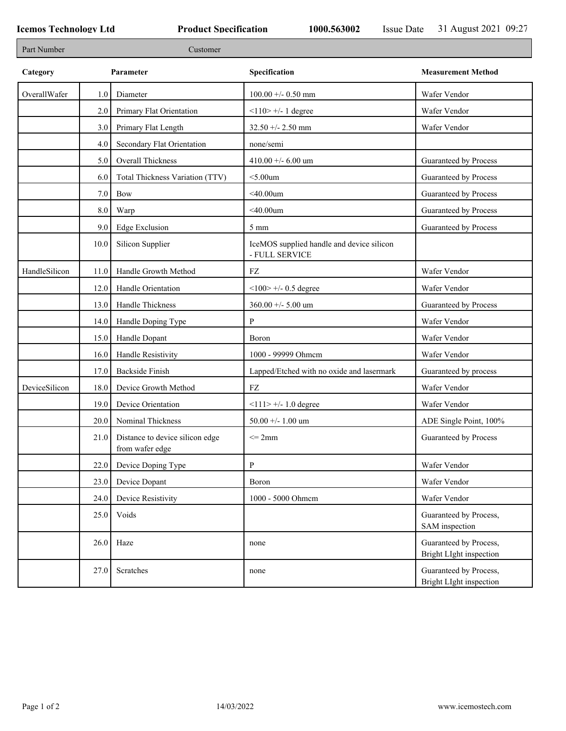| Part Number   |         | Customer                                           |                                                             |                                                   |
|---------------|---------|----------------------------------------------------|-------------------------------------------------------------|---------------------------------------------------|
| Category      |         | Parameter                                          | Specification                                               | <b>Measurement Method</b>                         |
| OverallWafer  | 1.0     | Diameter                                           | $100.00 + - 0.50$ mm                                        | Wafer Vendor                                      |
|               | 2.0     | Primary Flat Orientation                           | $<$ 110> +/- 1 degree                                       | Wafer Vendor                                      |
|               | 3.0     | Primary Flat Length                                | $32.50 + - 2.50$ mm                                         | Wafer Vendor                                      |
|               | 4.0     | Secondary Flat Orientation                         | none/semi                                                   |                                                   |
|               | 5.0     | Overall Thickness                                  | 410.00 +/- 6.00 um                                          | Guaranteed by Process                             |
|               | 6.0     | Total Thickness Variation (TTV)                    | $<$ 5.00 $um$                                               | Guaranteed by Process                             |
|               | 7.0     | <b>Bow</b>                                         | $<$ 40.00um                                                 | Guaranteed by Process                             |
|               | $8.0\,$ | Warp                                               | $<$ 40.00um                                                 | Guaranteed by Process                             |
|               | 9.0     | <b>Edge Exclusion</b>                              | $5 \text{ mm}$                                              | Guaranteed by Process                             |
|               | 10.0    | Silicon Supplier                                   | IceMOS supplied handle and device silicon<br>- FULL SERVICE |                                                   |
| HandleSilicon | 11.0    | Handle Growth Method                               | FZ                                                          | Wafer Vendor                                      |
|               | 12.0    | Handle Orientation                                 | $<100$ > +/- 0.5 degree                                     | Wafer Vendor                                      |
|               | 13.0    | Handle Thickness                                   | 360.00 +/- 5.00 um                                          | Guaranteed by Process                             |
|               | 14.0    | Handle Doping Type                                 | P                                                           | Wafer Vendor                                      |
|               | 15.0    | Handle Dopant                                      | Boron                                                       | Wafer Vendor                                      |
|               | 16.0    | Handle Resistivity                                 | 1000 - 99999 Ohmem                                          | Wafer Vendor                                      |
|               | 17.0    | <b>Backside Finish</b>                             | Lapped/Etched with no oxide and lasermark                   | Guaranteed by process                             |
| DeviceSilicon | 18.0    | Device Growth Method                               | FZ                                                          | Wafer Vendor                                      |
|               | 19.0    | Device Orientation                                 | $<$ 112 +/- 1.0 degree                                      | Wafer Vendor                                      |
|               | 20.0    | Nominal Thickness                                  | 50.00 +/- 1.00 um                                           | ADE Single Point, 100%                            |
|               | 21.0    | Distance to device silicon edge<br>from wafer edge | $\leq$ 2mm                                                  | Guaranteed by Process                             |
|               | 22.0    | Device Doping Type                                 | $\mathbf{P}$                                                | Wafer Vendor                                      |
|               | 23.0    | Device Dopant                                      | Boron                                                       | Wafer Vendor                                      |
|               | 24.0    | Device Resistivity                                 | 1000 - 5000 Ohmem                                           | Wafer Vendor                                      |
|               | 25.0    | Voids                                              |                                                             | Guaranteed by Process,<br>SAM inspection          |
|               | 26.0    | Haze                                               | none                                                        | Guaranteed by Process,<br>Bright LIght inspection |
|               | 27.0    | Scratches                                          | none                                                        | Guaranteed by Process,<br>Bright LIght inspection |